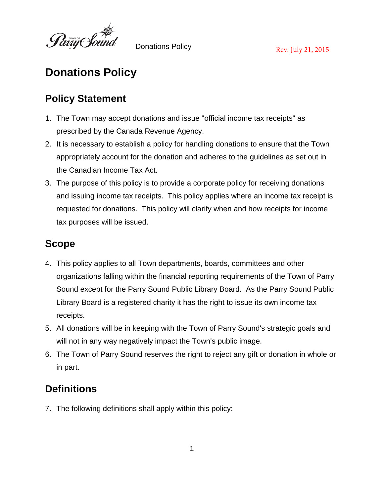

# **Donations Policy**

#### **Policy Statement**

- 1. The Town may accept donations and issue "official income tax receipts" as prescribed by the Canada Revenue Agency.
- 2. It is necessary to establish a policy for handling donations to ensure that the Town appropriately account for the donation and adheres to the guidelines as set out in the Canadian Income Tax Act.
- 3. The purpose of this policy is to provide a corporate policy for receiving donations and issuing income tax receipts. This policy applies where an income tax receipt is requested for donations. This policy will clarify when and how receipts for income tax purposes will be issued.

#### **Scope**

- 4. This policy applies to all Town departments, boards, committees and other organizations falling within the financial reporting requirements of the Town of Parry Sound except for the Parry Sound Public Library Board. As the Parry Sound Public Library Board is a registered charity it has the right to issue its own income tax receipts.
- 5. All donations will be in keeping with the Town of Parry Sound's strategic goals and will not in any way negatively impact the Town's public image.
- 6. The Town of Parry Sound reserves the right to reject any gift or donation in whole or in part.

#### **Definitions**

7. The following definitions shall apply within this policy: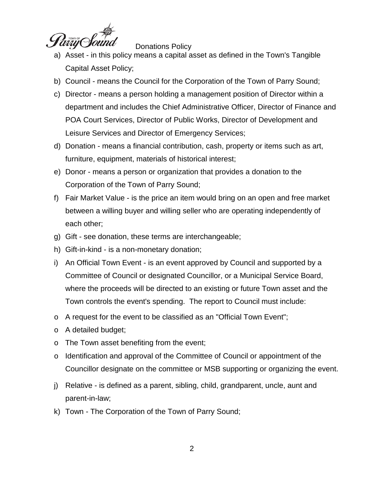

- a) Asset in this policy means a capital asset as defined in the Town's Tangible Capital Asset Policy;
- b) Council means the Council for the Corporation of the Town of Parry Sound;
- c) Director means a person holding a management position of Director within a department and includes the Chief Administrative Officer, Director of Finance and POA Court Services, Director of Public Works, Director of Development and Leisure Services and Director of Emergency Services;
- d) Donation means a financial contribution, cash, property or items such as art, furniture, equipment, materials of historical interest;
- e) Donor means a person or organization that provides a donation to the Corporation of the Town of Parry Sound;
- f) Fair Market Value is the price an item would bring on an open and free market between a willing buyer and willing seller who are operating independently of each other;
- g) Gift see donation, these terms are interchangeable;
- h) Gift-in-kind is a non-monetary donation;
- i) An Official Town Event is an event approved by Council and supported by a Committee of Council or designated Councillor, or a Municipal Service Board, where the proceeds will be directed to an existing or future Town asset and the Town controls the event's spending. The report to Council must include:
- o A request for the event to be classified as an "Official Town Event";
- o A detailed budget;
- o The Town asset benefiting from the event;
- o Identification and approval of the Committee of Council or appointment of the Councillor designate on the committee or MSB supporting or organizing the event.
- j) Relative is defined as a parent, sibling, child, grandparent, uncle, aunt and parent-in-law;
- k) Town The Corporation of the Town of Parry Sound;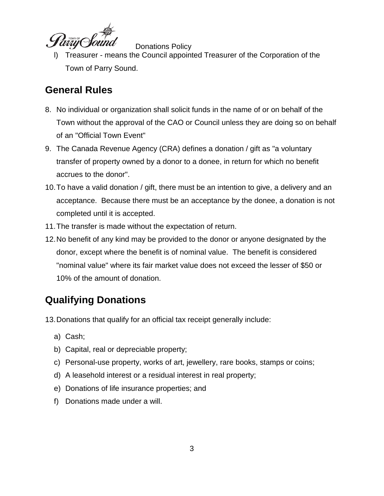

l) Treasurer - means the Council appointed Treasurer of the Corporation of the Town of Parry Sound.

#### **General Rules**

- 8. No individual or organization shall solicit funds in the name of or on behalf of the Town without the approval of the CAO or Council unless they are doing so on behalf of an "Official Town Event"
- 9. The Canada Revenue Agency (CRA) defines a donation / gift as "a voluntary transfer of property owned by a donor to a donee, in return for which no benefit accrues to the donor".
- 10.To have a valid donation / gift, there must be an intention to give, a delivery and an acceptance. Because there must be an acceptance by the donee, a donation is not completed until it is accepted.
- 11.The transfer is made without the expectation of return.
- 12.No benefit of any kind may be provided to the donor or anyone designated by the donor, except where the benefit is of nominal value. The benefit is considered "nominal value" where its fair market value does not exceed the lesser of \$50 or 10% of the amount of donation.

# **Qualifying Donations**

13.Donations that qualify for an official tax receipt generally include:

- a) Cash;
- b) Capital, real or depreciable property;
- c) Personal-use property, works of art, jewellery, rare books, stamps or coins;
- d) A leasehold interest or a residual interest in real property;
- e) Donations of life insurance properties; and
- f) Donations made under a will.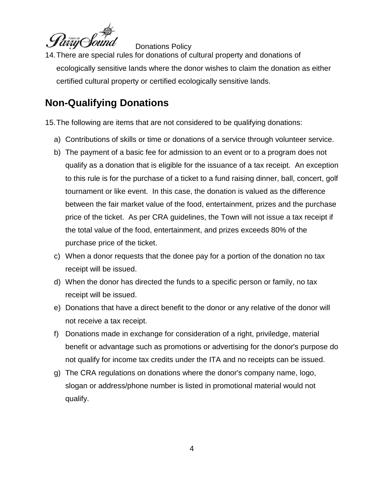

14.There are special rules for donations of cultural property and donations of ecologically sensitive lands where the donor wishes to claim the donation as either certified cultural property or certified ecologically sensitive lands.

### **Non-Qualifying Donations**

15.The following are items that are not considered to be qualifying donations:

- a) Contributions of skills or time or donations of a service through volunteer service.
- b) The payment of a basic fee for admission to an event or to a program does not qualify as a donation that is eligible for the issuance of a tax receipt. An exception to this rule is for the purchase of a ticket to a fund raising dinner, ball, concert, golf tournament or like event. In this case, the donation is valued as the difference between the fair market value of the food, entertainment, prizes and the purchase price of the ticket. As per CRA guidelines, the Town will not issue a tax receipt if the total value of the food, entertainment, and prizes exceeds 80% of the purchase price of the ticket.
- c) When a donor requests that the donee pay for a portion of the donation no tax receipt will be issued.
- d) When the donor has directed the funds to a specific person or family, no tax receipt will be issued.
- e) Donations that have a direct benefit to the donor or any relative of the donor will not receive a tax receipt.
- f) Donations made in exchange for consideration of a right, priviledge, material benefit or advantage such as promotions or advertising for the donor's purpose do not qualify for income tax credits under the ITA and no receipts can be issued.
- g) The CRA regulations on donations where the donor's company name, logo, slogan or address/phone number is listed in promotional material would not qualify.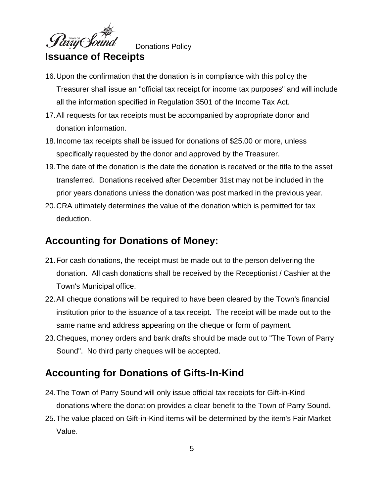

#### **Issuance of Receipts**

- 16.Upon the confirmation that the donation is in compliance with this policy the Treasurer shall issue an "official tax receipt for income tax purposes" and will include all the information specified in Regulation 3501 of the Income Tax Act.
- 17.All requests for tax receipts must be accompanied by appropriate donor and donation information.
- 18.Income tax receipts shall be issued for donations of \$25.00 or more, unless specifically requested by the donor and approved by the Treasurer.
- 19.The date of the donation is the date the donation is received or the title to the asset transferred. Donations received after December 31st may not be included in the prior years donations unless the donation was post marked in the previous year.
- 20.CRA ultimately determines the value of the donation which is permitted for tax deduction.

#### **Accounting for Donations of Money:**

- 21.For cash donations, the receipt must be made out to the person delivering the donation. All cash donations shall be received by the Receptionist / Cashier at the Town's Municipal office.
- 22.All cheque donations will be required to have been cleared by the Town's financial institution prior to the issuance of a tax receipt. The receipt will be made out to the same name and address appearing on the cheque or form of payment.
- 23.Cheques, money orders and bank drafts should be made out to "The Town of Parry Sound". No third party cheques will be accepted.

#### **Accounting for Donations of Gifts-In-Kind**

- 24.The Town of Parry Sound will only issue official tax receipts for Gift-in-Kind donations where the donation provides a clear benefit to the Town of Parry Sound.
- 25.The value placed on Gift-in-Kind items will be determined by the item's Fair Market Value.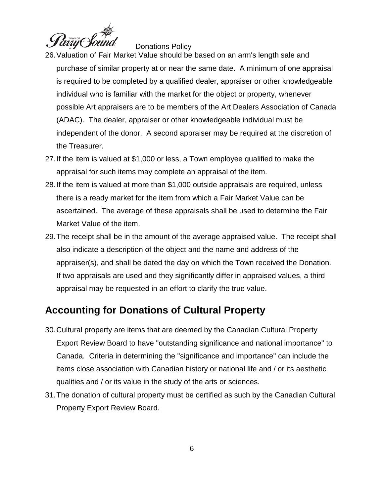

- 26.Valuation of Fair Market Value should be based on an arm's length sale and purchase of similar property at or near the same date. A minimum of one appraisal is required to be completed by a qualified dealer, appraiser or other knowledgeable individual who is familiar with the market for the object or property, whenever possible Art appraisers are to be members of the Art Dealers Association of Canada (ADAC). The dealer, appraiser or other knowledgeable individual must be independent of the donor. A second appraiser may be required at the discretion of the Treasurer.
- 27.If the item is valued at \$1,000 or less, a Town employee qualified to make the appraisal for such items may complete an appraisal of the item.
- 28.If the item is valued at more than \$1,000 outside appraisals are required, unless there is a ready market for the item from which a Fair Market Value can be ascertained. The average of these appraisals shall be used to determine the Fair Market Value of the item.
- 29.The receipt shall be in the amount of the average appraised value. The receipt shall also indicate a description of the object and the name and address of the appraiser(s), and shall be dated the day on which the Town received the Donation. If two appraisals are used and they significantly differ in appraised values, a third appraisal may be requested in an effort to clarify the true value.

#### **Accounting for Donations of Cultural Property**

- 30.Cultural property are items that are deemed by the Canadian Cultural Property Export Review Board to have "outstanding significance and national importance" to Canada. Criteria in determining the "significance and importance" can include the items close association with Canadian history or national life and / or its aesthetic qualities and / or its value in the study of the arts or sciences.
- 31.The donation of cultural property must be certified as such by the Canadian Cultural Property Export Review Board.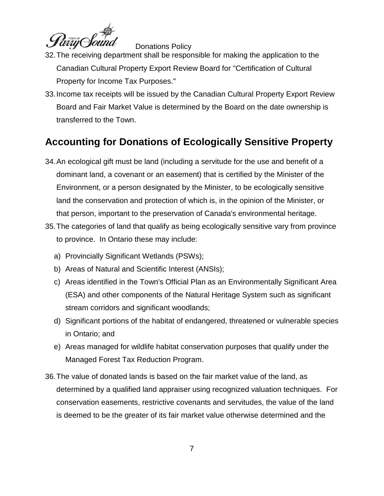

- 32.The receiving department shall be responsible for making the application to the Canadian Cultural Property Export Review Board for "Certification of Cultural Property for Income Tax Purposes."
- 33.Income tax receipts will be issued by the Canadian Cultural Property Export Review Board and Fair Market Value is determined by the Board on the date ownership is transferred to the Town.

# **Accounting for Donations of Ecologically Sensitive Property**

- 34.An ecological gift must be land (including a servitude for the use and benefit of a dominant land, a covenant or an easement) that is certified by the Minister of the Environment, or a person designated by the Minister, to be ecologically sensitive land the conservation and protection of which is, in the opinion of the Minister, or that person, important to the preservation of Canada's environmental heritage.
- 35.The categories of land that qualify as being ecologically sensitive vary from province to province. In Ontario these may include:
	- a) Provincially Significant Wetlands (PSWs);
	- b) Areas of Natural and Scientific Interest (ANSIs);
	- c) Areas identified in the Town's Official Plan as an Environmentally Significant Area (ESA) and other components of the Natural Heritage System such as significant stream corridors and significant woodlands;
	- d) Significant portions of the habitat of endangered, threatened or vulnerable species in Ontario; and
	- e) Areas managed for wildlife habitat conservation purposes that qualify under the Managed Forest Tax Reduction Program.
- 36.The value of donated lands is based on the fair market value of the land, as determined by a qualified land appraiser using recognized valuation techniques. For conservation easements, restrictive covenants and servitudes, the value of the land is deemed to be the greater of its fair market value otherwise determined and the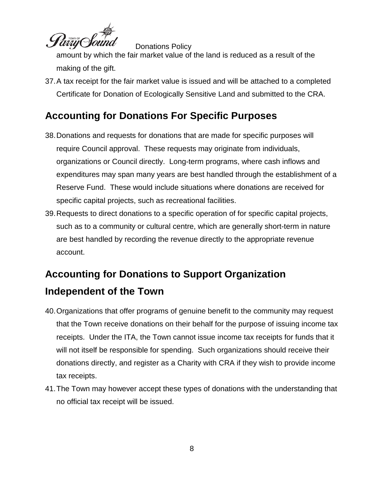

amount by which the fair market value of the land is reduced as a result of the making of the gift.

37.A tax receipt for the fair market value is issued and will be attached to a completed Certificate for Donation of Ecologically Sensitive Land and submitted to the CRA.

# **Accounting for Donations For Specific Purposes**

- 38.Donations and requests for donations that are made for specific purposes will require Council approval. These requests may originate from individuals, organizations or Council directly. Long-term programs, where cash inflows and expenditures may span many years are best handled through the establishment of a Reserve Fund. These would include situations where donations are received for specific capital projects, such as recreational facilities.
- 39.Requests to direct donations to a specific operation of for specific capital projects, such as to a community or cultural centre, which are generally short-term in nature are best handled by recording the revenue directly to the appropriate revenue account.

# **Accounting for Donations to Support Organization Independent of the Town**

- 40.Organizations that offer programs of genuine benefit to the community may request that the Town receive donations on their behalf for the purpose of issuing income tax receipts. Under the ITA, the Town cannot issue income tax receipts for funds that it will not itself be responsible for spending. Such organizations should receive their donations directly, and register as a Charity with CRA if they wish to provide income tax receipts.
- 41.The Town may however accept these types of donations with the understanding that no official tax receipt will be issued.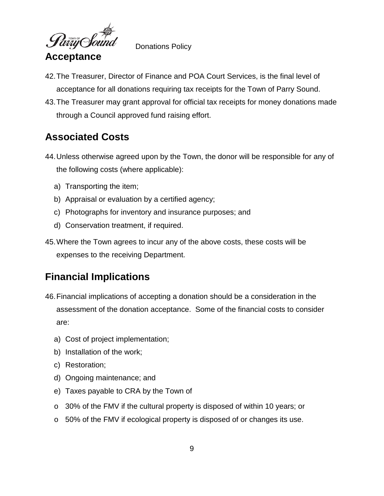

**Acceptance**

Donations Policy

- 42.The Treasurer, Director of Finance and POA Court Services, is the final level of acceptance for all donations requiring tax receipts for the Town of Parry Sound.
- 43.The Treasurer may grant approval for official tax receipts for money donations made through a Council approved fund raising effort.

### **Associated Costs**

- 44.Unless otherwise agreed upon by the Town, the donor will be responsible for any of the following costs (where applicable):
	- a) Transporting the item;
	- b) Appraisal or evaluation by a certified agency;
	- c) Photographs for inventory and insurance purposes; and
	- d) Conservation treatment, if required.
- 45.Where the Town agrees to incur any of the above costs, these costs will be expenses to the receiving Department.

#### **Financial Implications**

- 46.Financial implications of accepting a donation should be a consideration in the assessment of the donation acceptance. Some of the financial costs to consider are:
	- a) Cost of project implementation;
	- b) Installation of the work;
	- c) Restoration;
	- d) Ongoing maintenance; and
	- e) Taxes payable to CRA by the Town of
	- o 30% of the FMV if the cultural property is disposed of within 10 years; or
	- o 50% of the FMV if ecological property is disposed of or changes its use.